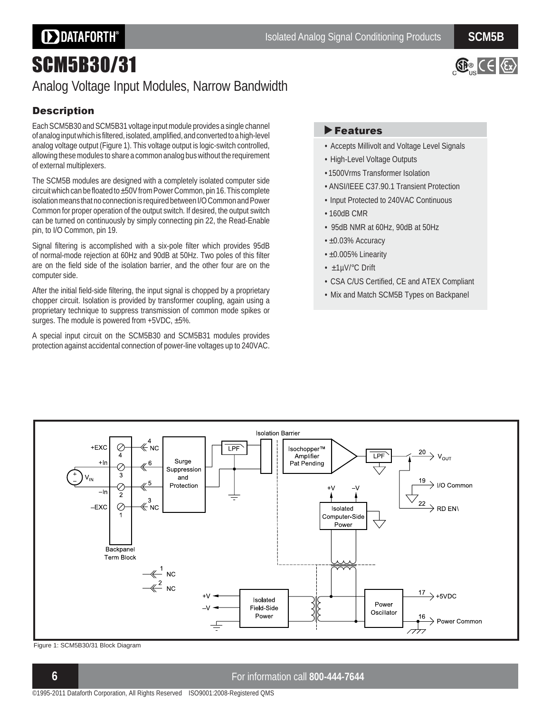# **DDATAFORTH®**

 $\mathbb{G}_{\mathbb{P}}$  ( $\in$   $\mathbb{G}$ 

# SCM5B30/31

## Analog Voltage Input Modules, Narrow Bandwidth

### **Description**

Each SCM5B30 and SCM5B31 voltage input module provides a single channel of analog input which is filtered, isolated, amplified, and converted to a high-level analog voltage output (Figure 1). This voltage output is logic-switch controlled, allowing these modules to share a common analog bus without the requirement of external multiplexers.

The SCM5B modules are designed with a completely isolated computer side circuit which can be floated to ±50V from Power Common, pin 16. This complete isolation means that no connection is required between I/O Common and Power Common for proper operation of the output switch. If desired, the output switch can be turned on continuously by simply connecting pin 22, the Read-Enable pin, to I/O Common, pin 19.

Signal filtering is accomplished with a six-pole filter which provides 95dB of normal-mode rejection at 60Hz and 90dB at 50Hz. Two poles of this filter are on the field side of the isolation barrier, and the other four are on the computer side.

After the initial field-side filtering, the input signal is chopped by a proprietary chopper circuit. Isolation is provided by transformer coupling, again using a proprietary technique to suppress transmission of common mode spikes or surges. The module is powered from +5VDC, ±5%.

A special input circuit on the SCM5B30 and SCM5B31 modules provides protection against accidental connection of power-line voltages up to 240VAC.

### Features

- Accepts Millivolt and Voltage Level Signals
- High-Level Voltage Outputs
- 1500Vrms Transformer Isolation
- ANSI/IEEE C37.90.1 Transient Protection
- Input Protected to 240VAC Continuous
- $\cdot$  160dB CMR
- 95dB NMR at 60Hz, 90dB at 50Hz
- ±0.03% Accuracy
- ±0.005% Linearity
- ±1µV/°C Drift
- CSA C/US Certified, CE and ATEX Compliant
- Mix and Match SCM5B Types on Backpanel



Figure 1: SCM5B30/31 Block Diagram